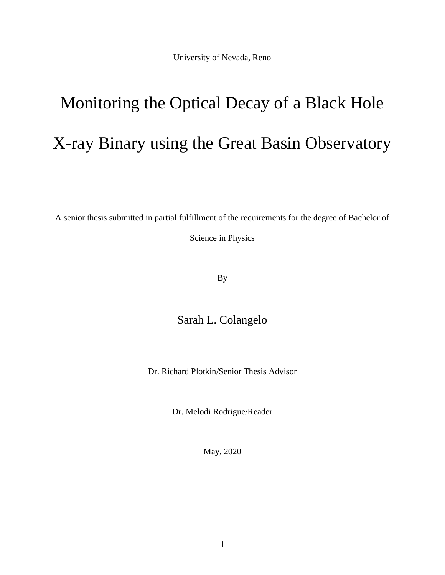University of Nevada, Reno

# Monitoring the Optical Decay of a Black Hole X-ray Binary using the Great Basin Observatory

A senior thesis submitted in partial fulfillment of the requirements for the degree of Bachelor of

Science in Physics

By

## Sarah L. Colangelo

Dr. Richard Plotkin/Senior Thesis Advisor

Dr. Melodi Rodrigue/Reader

May, 2020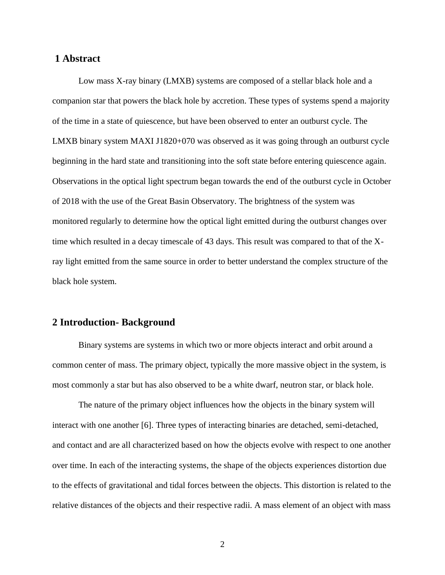## **1 Abstract**

Low mass X-ray binary (LMXB) systems are composed of a stellar black hole and a companion star that powers the black hole by accretion. These types of systems spend a majority of the time in a state of quiescence, but have been observed to enter an outburst cycle. The LMXB binary system MAXI J1820+070 was observed as it was going through an outburst cycle beginning in the hard state and transitioning into the soft state before entering quiescence again. Observations in the optical light spectrum began towards the end of the outburst cycle in October of 2018 with the use of the Great Basin Observatory. The brightness of the system was monitored regularly to determine how the optical light emitted during the outburst changes over time which resulted in a decay timescale of 43 days. This result was compared to that of the Xray light emitted from the same source in order to better understand the complex structure of the black hole system.

### **2 Introduction- Background**

Binary systems are systems in which two or more objects interact and orbit around a common center of mass. The primary object, typically the more massive object in the system, is most commonly a star but has also observed to be a white dwarf, neutron star, or black hole.

The nature of the primary object influences how the objects in the binary system will interact with one another [6]. Three types of interacting binaries are detached, semi-detached, and contact and are all characterized based on how the objects evolve with respect to one another over time. In each of the interacting systems, the shape of the objects experiences distortion due to the effects of gravitational and tidal forces between the objects. This distortion is related to the relative distances of the objects and their respective radii. A mass element of an object with mass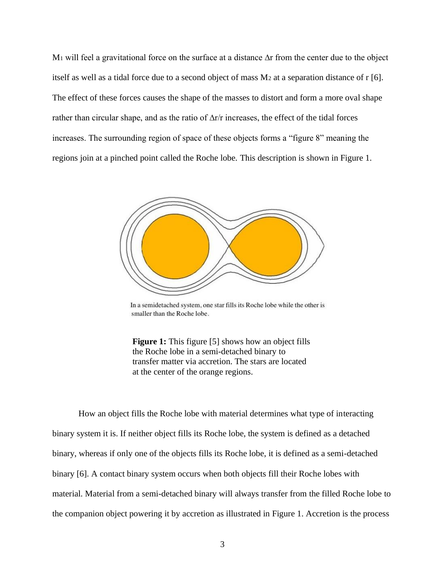M<sub>1</sub> will feel a gravitational force on the surface at a distance ∆r from the center due to the object itself as well as a tidal force due to a second object of mass M<sup>2</sup> at a separation distance of r [6]. The effect of these forces causes the shape of the masses to distort and form a more oval shape rather than circular shape, and as the ratio of ∆r/r increases, the effect of the tidal forces increases. The surrounding region of space of these objects forms a "figure 8" meaning the regions join at a pinched point called the Roche lobe. This description is shown in Figure 1.



In a semidetached system, one star fills its Roche lobe while the other is smaller than the Roche lobe.

**Figure 1:** This figure [5] shows how an object fills the Roche lobe in a semi-detached binary to transfer matter via accretion. The stars are located at the center of the orange regions.

How an object fills the Roche lobe with material determines what type of interacting binary system it is. If neither object fills its Roche lobe, the system is defined as a detached binary, whereas if only one of the objects fills its Roche lobe, it is defined as a semi-detached binary [6]. A contact binary system occurs when both objects fill their Roche lobes with material. Material from a semi-detached binary will always transfer from the filled Roche lobe to the companion object powering it by accretion as illustrated in Figure 1. Accretion is the process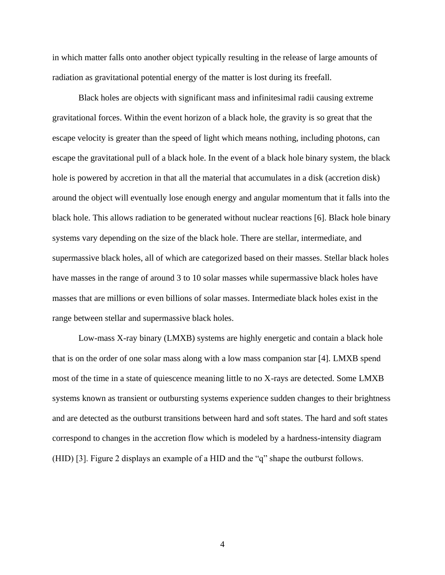in which matter falls onto another object typically resulting in the release of large amounts of radiation as gravitational potential energy of the matter is lost during its freefall.

Black holes are objects with significant mass and infinitesimal radii causing extreme gravitational forces. Within the event horizon of a black hole, the gravity is so great that the escape velocity is greater than the speed of light which means nothing, including photons, can escape the gravitational pull of a black hole. In the event of a black hole binary system, the black hole is powered by accretion in that all the material that accumulates in a disk (accretion disk) around the object will eventually lose enough energy and angular momentum that it falls into the black hole. This allows radiation to be generated without nuclear reactions [6]. Black hole binary systems vary depending on the size of the black hole. There are stellar, intermediate, and supermassive black holes, all of which are categorized based on their masses. Stellar black holes have masses in the range of around 3 to 10 solar masses while supermassive black holes have masses that are millions or even billions of solar masses. Intermediate black holes exist in the range between stellar and supermassive black holes.

Low-mass X-ray binary (LMXB) systems are highly energetic and contain a black hole that is on the order of one solar mass along with a low mass companion star [4]. LMXB spend most of the time in a state of quiescence meaning little to no X-rays are detected. Some LMXB systems known as transient or outbursting systems experience sudden changes to their brightness and are detected as the outburst transitions between hard and soft states. The hard and soft states correspond to changes in the accretion flow which is modeled by a hardness-intensity diagram (HID) [3]. Figure 2 displays an example of a HID and the "q" shape the outburst follows.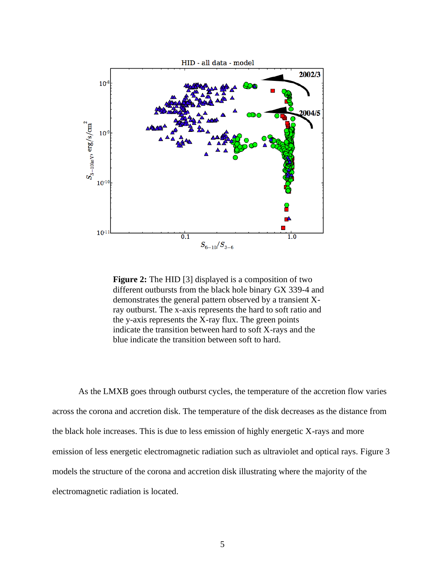

**Figure 2:** The HID [3] displayed is a composition of two different outbursts from the black hole binary GX 339-4 and demonstrates the general pattern observed by a transient Xray outburst. The x-axis represents the hard to soft ratio and the y-axis represents the X-ray flux. The green points indicate the transition between hard to soft X-rays and the blue indicate the transition between soft to hard.

As the LMXB goes through outburst cycles, the temperature of the accretion flow varies across the corona and accretion disk. The temperature of the disk decreases as the distance from the black hole increases. This is due to less emission of highly energetic X-rays and more emission of less energetic electromagnetic radiation such as ultraviolet and optical rays. Figure 3 models the structure of the corona and accretion disk illustrating where the majority of the electromagnetic radiation is located.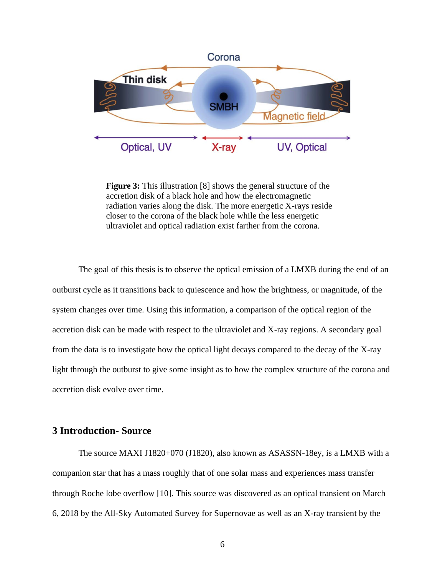

**Figure 3:** This illustration [8] shows the general structure of the accretion disk of a black hole and how the electromagnetic radiation varies along the disk. The more energetic X-rays reside closer to the corona of the black hole while the less energetic ultraviolet and optical radiation exist farther from the corona.

The goal of this thesis is to observe the optical emission of a LMXB during the end of an outburst cycle as it transitions back to quiescence and how the brightness, or magnitude, of the system changes over time. Using this information, a comparison of the optical region of the accretion disk can be made with respect to the ultraviolet and X-ray regions. A secondary goal from the data is to investigate how the optical light decays compared to the decay of the X-ray light through the outburst to give some insight as to how the complex structure of the corona and accretion disk evolve over time.

## **3 Introduction- Source**

The source MAXI J1820+070 (J1820), also known as ASASSN-18ey, is a LMXB with a companion star that has a mass roughly that of one solar mass and experiences mass transfer through Roche lobe overflow [10]. This source was discovered as an optical transient on March 6, 2018 by the All-Sky Automated Survey for Supernovae as well as an X-ray transient by the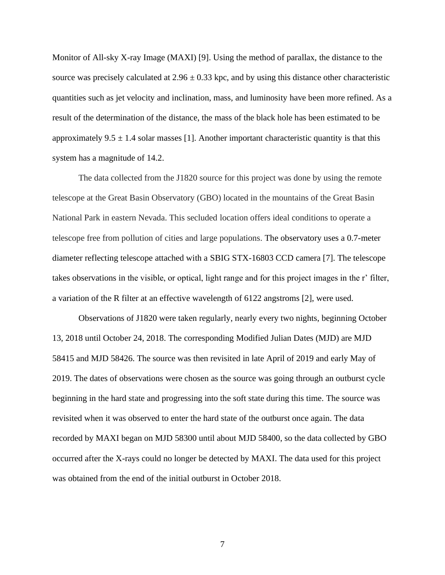Monitor of All-sky X-ray Image (MAXI) [9]. Using the method of parallax, the distance to the source was precisely calculated at  $2.96 \pm 0.33$  kpc, and by using this distance other characteristic quantities such as jet velocity and inclination, mass, and luminosity have been more refined. As a result of the determination of the distance, the mass of the black hole has been estimated to be approximately 9.5  $\pm$  1.4 solar masses [1]. Another important characteristic quantity is that this system has a magnitude of 14.2.

The data collected from the J1820 source for this project was done by using the remote telescope at the Great Basin Observatory (GBO) located in the mountains of the Great Basin National Park in eastern Nevada. This secluded location offers ideal conditions to operate a telescope free from pollution of cities and large populations. The observatory uses a 0.7-meter diameter reflecting telescope attached with a SBIG STX-16803 CCD camera [7]. The telescope takes observations in the visible, or optical, light range and for this project images in the r' filter, a variation of the R filter at an effective wavelength of 6122 angstroms [2], were used.

Observations of J1820 were taken regularly, nearly every two nights, beginning October 13, 2018 until October 24, 2018. The corresponding Modified Julian Dates (MJD) are MJD 58415 and MJD 58426. The source was then revisited in late April of 2019 and early May of 2019. The dates of observations were chosen as the source was going through an outburst cycle beginning in the hard state and progressing into the soft state during this time. The source was revisited when it was observed to enter the hard state of the outburst once again. The data recorded by MAXI began on MJD 58300 until about MJD 58400, so the data collected by GBO occurred after the X-rays could no longer be detected by MAXI. The data used for this project was obtained from the end of the initial outburst in October 2018.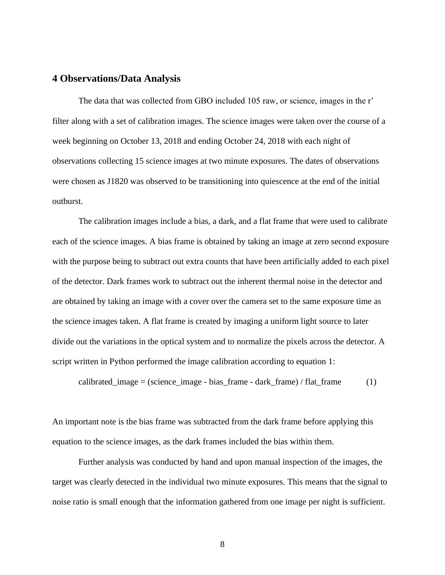#### **4 Observations/Data Analysis**

The data that was collected from GBO included 105 raw, or science, images in the r' filter along with a set of calibration images. The science images were taken over the course of a week beginning on October 13, 2018 and ending October 24, 2018 with each night of observations collecting 15 science images at two minute exposures. The dates of observations were chosen as J1820 was observed to be transitioning into quiescence at the end of the initial outburst.

The calibration images include a bias, a dark, and a flat frame that were used to calibrate each of the science images. A bias frame is obtained by taking an image at zero second exposure with the purpose being to subtract out extra counts that have been artificially added to each pixel of the detector. Dark frames work to subtract out the inherent thermal noise in the detector and are obtained by taking an image with a cover over the camera set to the same exposure time as the science images taken. A flat frame is created by imaging a uniform light source to later divide out the variations in the optical system and to normalize the pixels across the detector. A script written in Python performed the image calibration according to equation 1:

calibrated\_image = (science\_image - bias\_frame - dark\_frame) / flat\_frame  $(1)$ 

An important note is the bias frame was subtracted from the dark frame before applying this equation to the science images, as the dark frames included the bias within them.

Further analysis was conducted by hand and upon manual inspection of the images, the target was clearly detected in the individual two minute exposures. This means that the signal to noise ratio is small enough that the information gathered from one image per night is sufficient.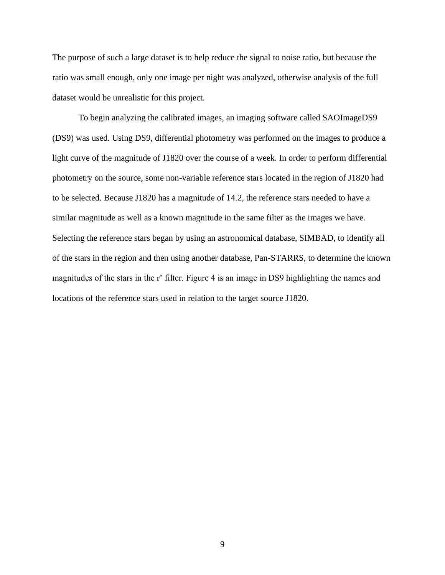The purpose of such a large dataset is to help reduce the signal to noise ratio, but because the ratio was small enough, only one image per night was analyzed, otherwise analysis of the full dataset would be unrealistic for this project.

To begin analyzing the calibrated images, an imaging software called SAOImageDS9 (DS9) was used. Using DS9, differential photometry was performed on the images to produce a light curve of the magnitude of J1820 over the course of a week. In order to perform differential photometry on the source, some non-variable reference stars located in the region of J1820 had to be selected. Because J1820 has a magnitude of 14.2, the reference stars needed to have a similar magnitude as well as a known magnitude in the same filter as the images we have. Selecting the reference stars began by using an astronomical database, SIMBAD, to identify all of the stars in the region and then using another database, Pan-STARRS, to determine the known magnitudes of the stars in the r' filter. Figure 4 is an image in DS9 highlighting the names and locations of the reference stars used in relation to the target source J1820.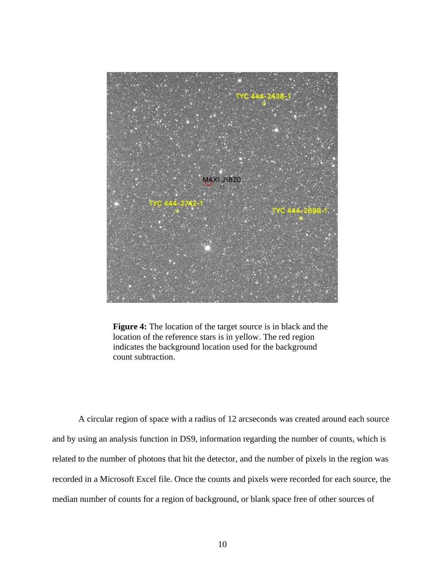

**Figure 4:** The location of the target source is in black and the location of the reference stars is in yellow. The red region indicates the background location used for the background count subtraction.

A circular region of space with a radius of 12 arcseconds was created around each source and by using an analysis function in DS9, information regarding the number of counts, which is related to the number of photons that hit the detector, and the number of pixels in the region was recorded in a Microsoft Excel file. Once the counts and pixels were recorded for each source, the median number of counts for a region of background, or blank space free of other sources of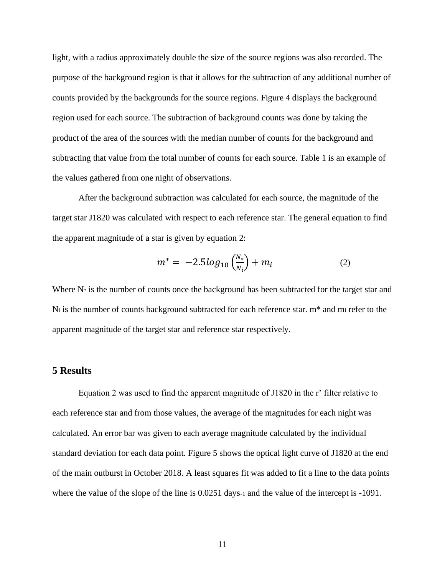light, with a radius approximately double the size of the source regions was also recorded. The purpose of the background region is that it allows for the subtraction of any additional number of counts provided by the backgrounds for the source regions. Figure 4 displays the background region used for each source. The subtraction of background counts was done by taking the product of the area of the sources with the median number of counts for the background and subtracting that value from the total number of counts for each source. Table 1 is an example of the values gathered from one night of observations.

After the background subtraction was calculated for each source, the magnitude of the target star J1820 was calculated with respect to each reference star. The general equation to find the apparent magnitude of a star is given by equation 2:

$$
m^* = -2.5 \log_{10} \left( \frac{N_*}{N_i} \right) + m_i \tag{2}
$$

Where  $N^*$  is the number of counts once the background has been subtracted for the target star and N<sup>i</sup> is the number of counts background subtracted for each reference star. m\* and m<sup>i</sup> refer to the apparent magnitude of the target star and reference star respectively.

#### **5 Results**

Equation 2 was used to find the apparent magnitude of J1820 in the r' filter relative to each reference star and from those values, the average of the magnitudes for each night was calculated. An error bar was given to each average magnitude calculated by the individual standard deviation for each data point. Figure 5 shows the optical light curve of J1820 at the end of the main outburst in October 2018. A least squares fit was added to fit a line to the data points where the value of the slope of the line is  $0.0251$  days-1 and the value of the intercept is -1091.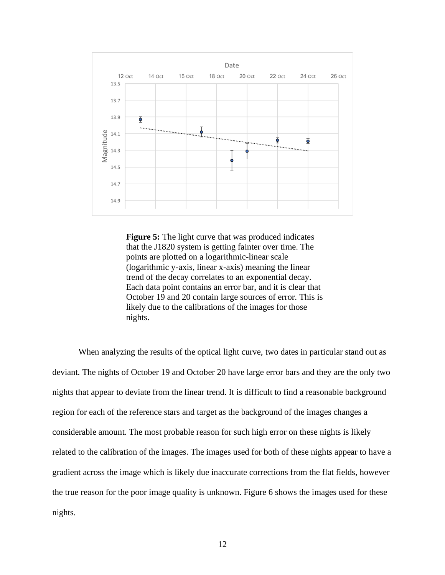

**Figure 5:** The light curve that was produced indicates that the J1820 system is getting fainter over time. The points are plotted on a logarithmic-linear scale (logarithmic y-axis, linear x-axis) meaning the linear trend of the decay correlates to an exponential decay. Each data point contains an error bar, and it is clear that October 19 and 20 contain large sources of error. This is likely due to the calibrations of the images for those nights.

When analyzing the results of the optical light curve, two dates in particular stand out as deviant. The nights of October 19 and October 20 have large error bars and they are the only two nights that appear to deviate from the linear trend. It is difficult to find a reasonable background region for each of the reference stars and target as the background of the images changes a considerable amount. The most probable reason for such high error on these nights is likely related to the calibration of the images. The images used for both of these nights appear to have a gradient across the image which is likely due inaccurate corrections from the flat fields, however the true reason for the poor image quality is unknown. Figure 6 shows the images used for these nights.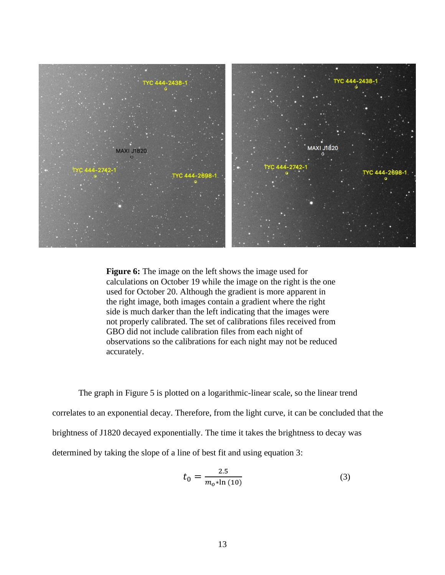

**Figure 6:** The image on the left shows the image used for calculations on October 19 while the image on the right is the one used for October 20. Although the gradient is more apparent in the right image, both images contain a gradient where the right side is much darker than the left indicating that the images were not properly calibrated. The set of calibrations files received from GBO did not include calibration files from each night of observations so the calibrations for each night may not be reduced accurately.

The graph in Figure 5 is plotted on a logarithmic-linear scale, so the linear trend correlates to an exponential decay. Therefore, from the light curve, it can be concluded that the brightness of J1820 decayed exponentially. The time it takes the brightness to decay was determined by taking the slope of a line of best fit and using equation 3:

$$
t_0 = \frac{2.5}{m_o * \ln(10)}\tag{3}
$$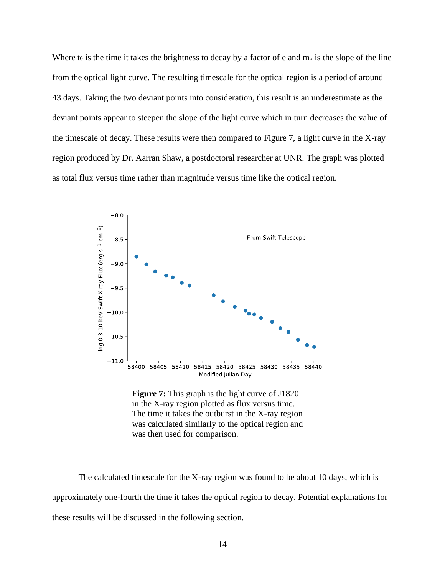Where to is the time it takes the brightness to decay by a factor of e and mo is the slope of the line from the optical light curve. The resulting timescale for the optical region is a period of around 43 days. Taking the two deviant points into consideration, this result is an underestimate as the deviant points appear to steepen the slope of the light curve which in turn decreases the value of the timescale of decay. These results were then compared to Figure 7, a light curve in the X-ray region produced by Dr. Aarran Shaw, a postdoctoral researcher at UNR. The graph was plotted as total flux versus time rather than magnitude versus time like the optical region.



**Figure 7:** This graph is the light curve of J1820 in the X-ray region plotted as flux versus time. The time it takes the outburst in the X-ray region was calculated similarly to the optical region and was then used for comparison.

The calculated timescale for the X-ray region was found to be about 10 days, which is approximately one-fourth the time it takes the optical region to decay. Potential explanations for these results will be discussed in the following section.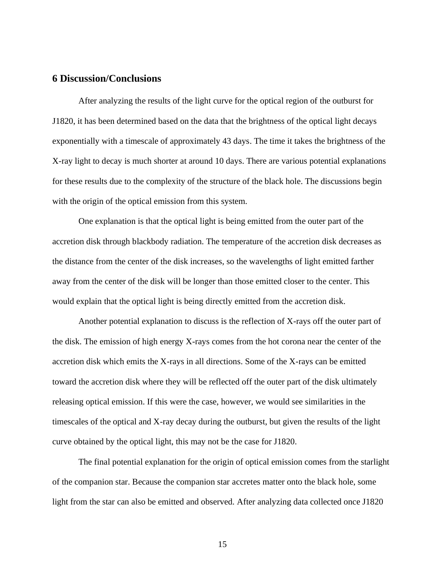## **6 Discussion/Conclusions**

After analyzing the results of the light curve for the optical region of the outburst for J1820, it has been determined based on the data that the brightness of the optical light decays exponentially with a timescale of approximately 43 days. The time it takes the brightness of the X-ray light to decay is much shorter at around 10 days. There are various potential explanations for these results due to the complexity of the structure of the black hole. The discussions begin with the origin of the optical emission from this system.

One explanation is that the optical light is being emitted from the outer part of the accretion disk through blackbody radiation. The temperature of the accretion disk decreases as the distance from the center of the disk increases, so the wavelengths of light emitted farther away from the center of the disk will be longer than those emitted closer to the center. This would explain that the optical light is being directly emitted from the accretion disk.

Another potential explanation to discuss is the reflection of X-rays off the outer part of the disk. The emission of high energy X-rays comes from the hot corona near the center of the accretion disk which emits the X-rays in all directions. Some of the X-rays can be emitted toward the accretion disk where they will be reflected off the outer part of the disk ultimately releasing optical emission. If this were the case, however, we would see similarities in the timescales of the optical and X-ray decay during the outburst, but given the results of the light curve obtained by the optical light, this may not be the case for J1820.

The final potential explanation for the origin of optical emission comes from the starlight of the companion star. Because the companion star accretes matter onto the black hole, some light from the star can also be emitted and observed. After analyzing data collected once J1820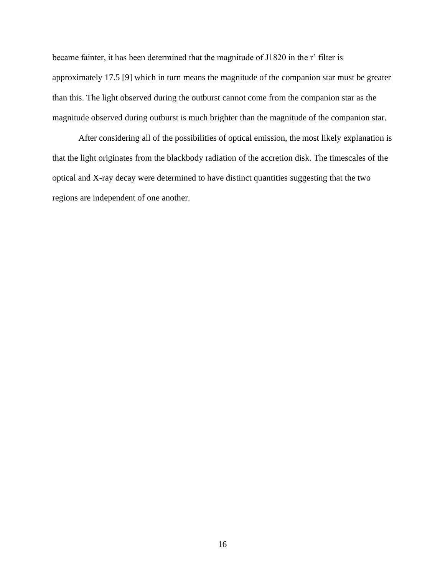became fainter, it has been determined that the magnitude of J1820 in the r' filter is approximately 17.5 [9] which in turn means the magnitude of the companion star must be greater than this. The light observed during the outburst cannot come from the companion star as the magnitude observed during outburst is much brighter than the magnitude of the companion star.

After considering all of the possibilities of optical emission, the most likely explanation is that the light originates from the blackbody radiation of the accretion disk. The timescales of the optical and X-ray decay were determined to have distinct quantities suggesting that the two regions are independent of one another.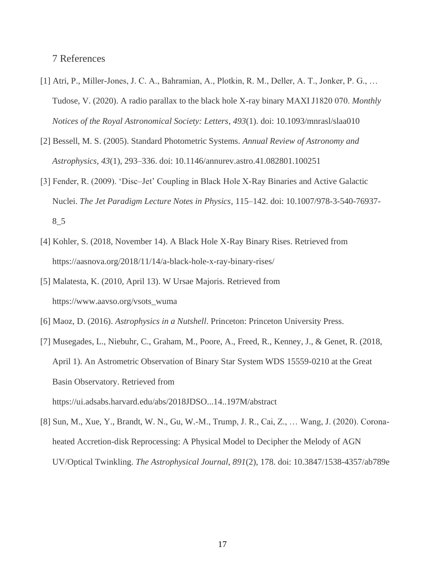7 References

- [1] Atri, P., Miller-Jones, J. C. A., Bahramian, A., Plotkin, R. M., Deller, A. T., Jonker, P. G., … Tudose, V. (2020). A radio parallax to the black hole X-ray binary MAXI J1820 070. *Monthly Notices of the Royal Astronomical Society: Letters*, *493*(1). doi: 10.1093/mnrasl/slaa010
- [2] Bessell, M. S. (2005). Standard Photometric Systems. *Annual Review of Astronomy and Astrophysics*, *43*(1), 293–336. doi: 10.1146/annurev.astro.41.082801.100251
- [3] Fender, R. (2009). 'Disc–Jet' Coupling in Black Hole X-Ray Binaries and Active Galactic Nuclei. *The Jet Paradigm Lecture Notes in Physics*, 115–142. doi: 10.1007/978-3-540-76937- 8\_5
- [4] Kohler, S. (2018, November 14). A Black Hole X-Ray Binary Rises. Retrieved from https://aasnova.org/2018/11/14/a-black-hole-x-ray-binary-rises/
- [5] Malatesta, K. (2010, April 13). W Ursae Majoris. Retrieved from https://www.aavso.org/vsots\_wuma
- [6] Maoz, D. (2016). *Astrophysics in a Nutshell*. Princeton: Princeton University Press.
- [7] Musegades, L., Niebuhr, C., Graham, M., Poore, A., Freed, R., Kenney, J., & Genet, R. (2018, April 1). An Astrometric Observation of Binary Star System WDS 15559-0210 at the Great Basin Observatory. Retrieved from https://ui.adsabs.harvard.edu/abs/2018JDSO...14..197M/abstract
- [8] Sun, M., Xue, Y., Brandt, W. N., Gu, W.-M., Trump, J. R., Cai, Z., … Wang, J. (2020). Coronaheated Accretion-disk Reprocessing: A Physical Model to Decipher the Melody of AGN UV/Optical Twinkling. *The Astrophysical Journal*, *891*(2), 178. doi: 10.3847/1538-4357/ab789e